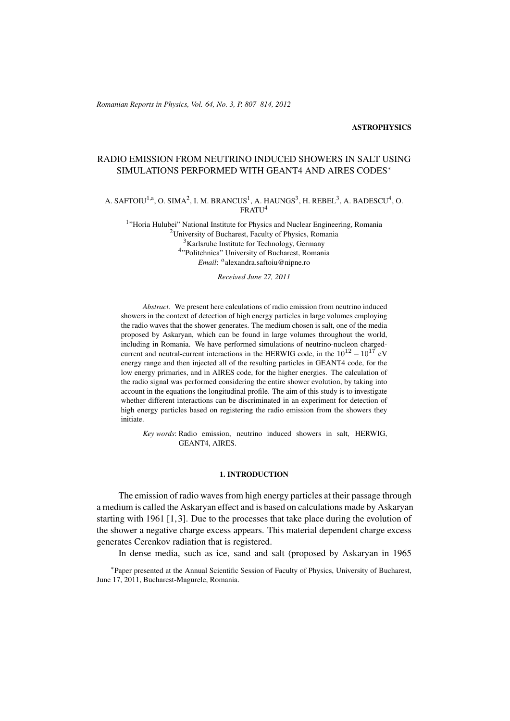#### **ASTROPHYSICS**

# RADIO EMISSION FROM NEUTRINO INDUCED SHOWERS IN SALT USING SIMULATIONS PERFORMED WITH GEANT4 AND AIRES CODES<sup>∗</sup>

## A. SAFTOIU<sup>1,a</sup>, O. SIMA<sup>2</sup>, I. M. BRANCUS<sup>1</sup>, A. HAUNGS<sup>3</sup>, H. REBEL<sup>3</sup>, A. BADESCU<sup>4</sup>, O. FRATU<sup>4</sup>

<sup>1</sup>"Horia Hulubei" National Institute for Physics and Nuclear Engineering, Romania <sup>2</sup>University of Bucharest, Faculty of Physics, Romania <sup>3</sup>Karlsruhe Institute for Technology, Germany 4 "Politehnica" University of Bucharest, Romania *Email*: a alexandra.saftoiu@nipne.ro

*Received June 27, 2011*

*Abstract.* We present here calculations of radio emission from neutrino induced showers in the context of detection of high energy particles in large volumes employing the radio waves that the shower generates. The medium chosen is salt, one of the media proposed by Askaryan, which can be found in large volumes throughout the world, including in Romania. We have performed simulations of neutrino-nucleon chargedcurrent and neutral-current interactions in the HERWIG code, in the  $10^{12} - 10^{17}$  eV energy range and then injected all of the resulting particles in GEANT4 code, for the low energy primaries, and in AIRES code, for the higher energies. The calculation of the radio signal was performed considering the entire shower evolution, by taking into account in the equations the longitudinal profile. The aim of this study is to investigate whether different interactions can be discriminated in an experiment for detection of high energy particles based on registering the radio emission from the showers they initiate.

*Key words*: Radio emission, neutrino induced showers in salt, HERWIG, GEANT4, AIRES.

## 1. INTRODUCTION

The emission of radio waves from high energy particles at their passage through a medium is called the Askaryan effect and is based on calculations made by Askaryan starting with 1961 [1, 3]. Due to the processes that take place during the evolution of the shower a negative charge excess appears. This material dependent charge excess generates Cerenkov radiation that is registered.

In dense media, such as ice, sand and salt (proposed by Askaryan in 1965

∗ Paper presented at the Annual Scientific Session of Faculty of Physics, University of Bucharest, June 17, 2011, Bucharest-Magurele, Romania.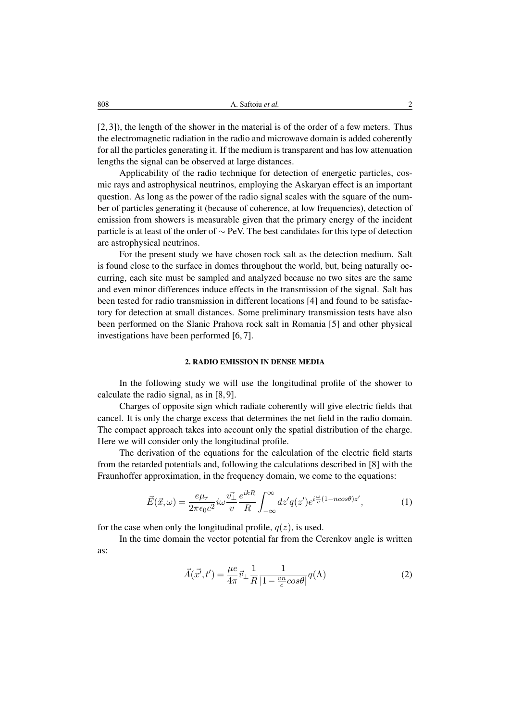[2, 3]), the length of the shower in the material is of the order of a few meters. Thus the electromagnetic radiation in the radio and microwave domain is added coherently for all the particles generating it. If the medium is transparent and has low attenuation lengths the signal can be observed at large distances.

Applicability of the radio technique for detection of energetic particles, cosmic rays and astrophysical neutrinos, employing the Askaryan effect is an important question. As long as the power of the radio signal scales with the square of the number of particles generating it (because of coherence, at low frequencies), detection of emission from showers is measurable given that the primary energy of the incident particle is at least of the order of ∼ PeV. The best candidates for this type of detection are astrophysical neutrinos.

For the present study we have chosen rock salt as the detection medium. Salt is found close to the surface in domes throughout the world, but, being naturally occurring, each site must be sampled and analyzed because no two sites are the same and even minor differences induce effects in the transmission of the signal. Salt has been tested for radio transmission in different locations [4] and found to be satisfactory for detection at small distances. Some preliminary transmission tests have also been performed on the Slanic Prahova rock salt in Romania [5] and other physical investigations have been performed [6, 7].

### 2. RADIO EMISSION IN DENSE MEDIA

In the following study we will use the longitudinal profile of the shower to calculate the radio signal, as in [8, 9].

Charges of opposite sign which radiate coherently will give electric fields that cancel. It is only the charge excess that determines the net field in the radio domain. The compact approach takes into account only the spatial distribution of the charge. Here we will consider only the longitudinal profile.

The derivation of the equations for the calculation of the electric field starts from the retarded potentials and, following the calculations described in [8] with the Fraunhoffer approximation, in the frequency domain, we come to the equations:

$$
\vec{E}(\vec{x},\omega) = \frac{e\mu_r}{2\pi\epsilon_0 c^2} i\omega \frac{\vec{v_\perp}}{v} \frac{e^{ikR}}{R} \int_{-\infty}^{\infty} dz' q(z') e^{i\frac{\omega}{c}(1 - n\cos\theta)z'},\tag{1}
$$

for the case when only the longitudinal profile,  $q(z)$ , is used.

In the time domain the vector potential far from the Cerenkov angle is written as:

$$
\vec{A}(\vec{x'},t') = \frac{\mu e}{4\pi} \vec{v}_{\perp} \frac{1}{R} \frac{1}{|1 - \frac{vn}{c} \cos \theta|} q(\Lambda)
$$
 (2)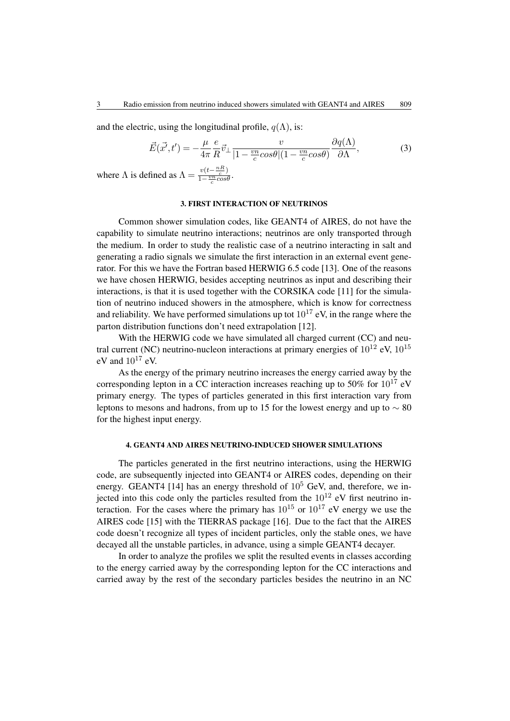and the electric, using the longitudinal profile,  $q(\Lambda)$ , is:

$$
\vec{E}(\vec{x'},t') = -\frac{\mu}{4\pi} \frac{e}{R} \vec{v}_{\perp} \frac{v}{|1 - \frac{vn}{c} \cos\theta| (1 - \frac{vn}{c} \cos\theta)} \frac{\partial q(\Lambda)}{\partial \Lambda},\tag{3}
$$

where  $\Lambda$  is defined as  $\Lambda = \frac{v(t - \frac{nR}{c})}{1 - \frac{vn}{c} \cos \theta}$  $\frac{v(t-c)}{1-\frac{vn}{c}cos\theta}$ .

## 3. FIRST INTERACTION OF NEUTRINOS

Common shower simulation codes, like GEANT4 of AIRES, do not have the capability to simulate neutrino interactions; neutrinos are only transported through the medium. In order to study the realistic case of a neutrino interacting in salt and generating a radio signals we simulate the first interaction in an external event generator. For this we have the Fortran based HERWIG 6.5 code [13]. One of the reasons we have chosen HERWIG, besides accepting neutrinos as input and describing their interactions, is that it is used together with the CORSIKA code [11] for the simulation of neutrino induced showers in the atmosphere, which is know for correctness and reliability. We have performed simulations up tot  $10^{17}$  eV, in the range where the parton distribution functions don't need extrapolation [12].

With the HERWIG code we have simulated all charged current (CC) and neutral current (NC) neutrino-nucleon interactions at primary energies of  $10^{12}$  eV,  $10^{15}$ eV and  $10^{17}$  eV.

As the energy of the primary neutrino increases the energy carried away by the corresponding lepton in a CC interaction increases reaching up to 50% for  $10^{17}$  eV primary energy. The types of particles generated in this first interaction vary from leptons to mesons and hadrons, from up to 15 for the lowest energy and up to  $\sim 80$ for the highest input energy.

## 4. GEANT4 AND AIRES NEUTRINO-INDUCED SHOWER SIMULATIONS

The particles generated in the first neutrino interactions, using the HERWIG code, are subsequently injected into GEANT4 or AIRES codes, depending on their energy. GEANT4 [14] has an energy threshold of  $10^5$  GeV, and, therefore, we injected into this code only the particles resulted from the  $10^{12}$  eV first neutrino interaction. For the cases where the primary has  $10^{15}$  or  $10^{17}$  eV energy we use the AIRES code [15] with the TIERRAS package [16]. Due to the fact that the AIRES code doesn't recognize all types of incident particles, only the stable ones, we have decayed all the unstable particles, in advance, using a simple GEANT4 decayer.

In order to analyze the profiles we split the resulted events in classes according to the energy carried away by the corresponding lepton for the CC interactions and carried away by the rest of the secondary particles besides the neutrino in an NC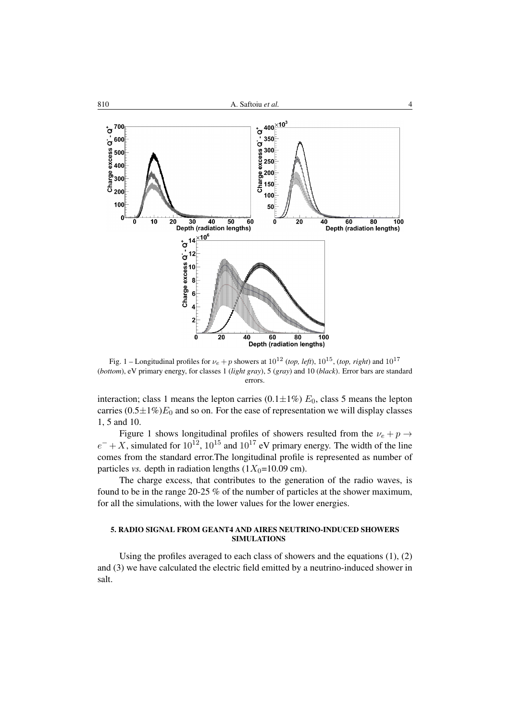

Fig. 1 – Longitudinal profiles for  $\nu_e + p$  showers at  $10^{12}$  (*top, left*),  $10^{15}$ , (*top, right*) and  $10^{17}$ (*bottom*), eV primary energy, for classes 1 (*light gray*), 5 (*gray*) and 10 (*black*). Error bars are standard errors.

interaction; class 1 means the lepton carries (0.1 $\pm$ 1%)  $E_0$ , class 5 means the lepton carries  $(0.5\pm1\%)E_0$  and so on. For the ease of representation we will display classes 1, 5 and 10.

Figure 1 shows longitudinal profiles of showers resulted from the  $\nu_e + p \rightarrow$  $e^- + X$ , simulated for  $10^{12}$ ,  $10^{15}$  and  $10^{17}$  eV primary energy. The width of the line comes from the standard error.The longitudinal profile is represented as number of particles *vs.* depth in radiation lengths  $(1X_0=10.09 \text{ cm})$ .

The charge excess, that contributes to the generation of the radio waves, is found to be in the range 20-25 % of the number of particles at the shower maximum, for all the simulations, with the lower values for the lower energies.

## 5. RADIO SIGNAL FROM GEANT4 AND AIRES NEUTRINO-INDUCED SHOWERS SIMULATIONS

Using the profiles averaged to each class of showers and the equations (1), (2) and (3) we have calculated the electric field emitted by a neutrino-induced shower in salt.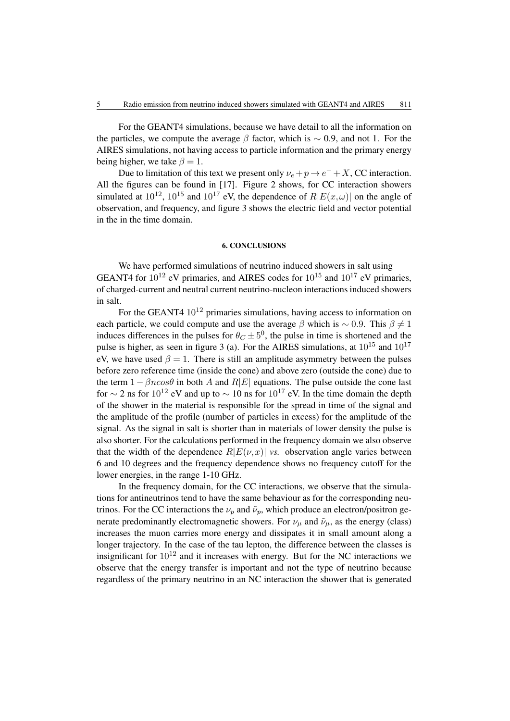For the GEANT4 simulations, because we have detail to all the information on the particles, we compute the average  $\beta$  factor, which is ~ 0.9, and not 1. For the AIRES simulations, not having access to particle information and the primary energy being higher, we take  $\beta = 1$ .

Due to limitation of this text we present only  $\nu_e + p \to e^- + X$ , CC interaction. All the figures can be found in [17]. Figure 2 shows, for CC interaction showers simulated at  $10^{12}$ ,  $10^{15}$  and  $10^{17}$  eV, the dependence of  $R\leftE(x,\omega)\right|$  on the angle of observation, and frequency, and figure 3 shows the electric field and vector potential in the in the time domain.

#### 6. CONCLUSIONS

We have performed simulations of neutrino induced showers in salt using GEANT4 for  $10^{12}$  eV primaries, and AIRES codes for  $10^{15}$  and  $10^{17}$  eV primaries, of charged-current and neutral current neutrino-nucleon interactions induced showers in salt.

For the GEANT4  $10^{12}$  primaries simulations, having access to information on each particle, we could compute and use the average  $\beta$  which is ~ 0.9. This  $\beta \neq 1$ induces differences in the pulses for  $\theta_C \pm 5^0$ , the pulse in time is shortened and the pulse is higher, as seen in figure 3 (a). For the AIRES simulations, at  $10^{15}$  and  $10^{17}$ eV, we have used  $\beta = 1$ . There is still an amplitude asymmetry between the pulses before zero reference time (inside the cone) and above zero (outside the cone) due to the term  $1 - \beta n cos\theta$  in both A and R|E| equations. The pulse outside the cone last for  $\sim$  2 ns for 10<sup>12</sup> eV and up to  $\sim$  10 ns for 10<sup>17</sup> eV. In the time domain the depth of the shower in the material is responsible for the spread in time of the signal and the amplitude of the profile (number of particles in excess) for the amplitude of the signal. As the signal in salt is shorter than in materials of lower density the pulse is also shorter. For the calculations performed in the frequency domain we also observe that the width of the dependence  $R|E(\nu,x)|$  *vs.* observation angle varies between 6 and 10 degrees and the frequency dependence shows no frequency cutoff for the lower energies, in the range 1-10 GHz.

In the frequency domain, for the CC interactions, we observe that the simulations for antineutrinos tend to have the same behaviour as for the corresponding neutrinos. For the CC interactions the  $\nu_p$  and  $\tilde{\nu}_p$ , which produce an electron/positron generate predominantly electromagnetic showers. For  $\nu_{\mu}$  and  $\tilde{\nu}_{\mu}$ , as the energy (class) increases the muon carries more energy and dissipates it in small amount along a longer trajectory. In the case of the tau lepton, the difference between the classes is insignificant for  $10^{12}$  and it increases with energy. But for the NC interactions we observe that the energy transfer is important and not the type of neutrino because regardless of the primary neutrino in an NC interaction the shower that is generated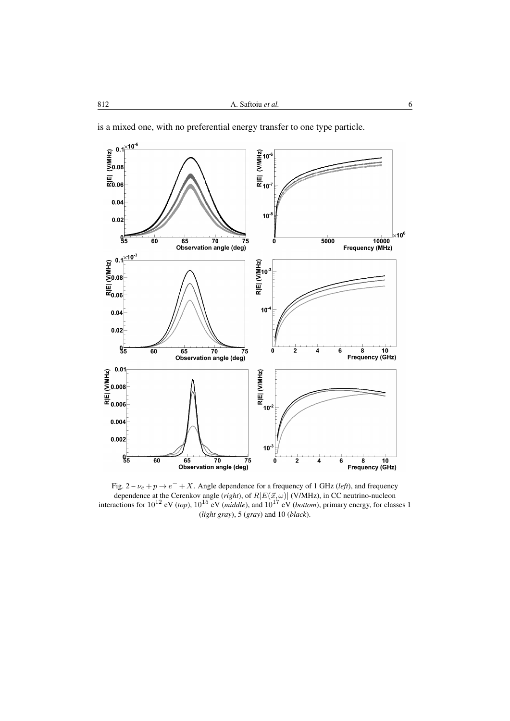is a mixed one, with no preferential energy transfer to one type particle.



Fig.  $2 - \nu_e + p \rightarrow e^- + X$ . Angle dependence for a frequency of 1 GHz (*left*), and frequency dependence at the Cerenkov angle (*right*), of  $R\left|E(\vec{x},\omega)\right|$  (V/MHz), in CC neutrino-nucleon interactions for  $10^{12}$  eV (*top*),  $10^{15}$  eV (*middle*), and  $10^{17}$  eV (*bottom*), primary energy, for classes 1 (*light gray*), 5 (*gray*) and 10 (*black*).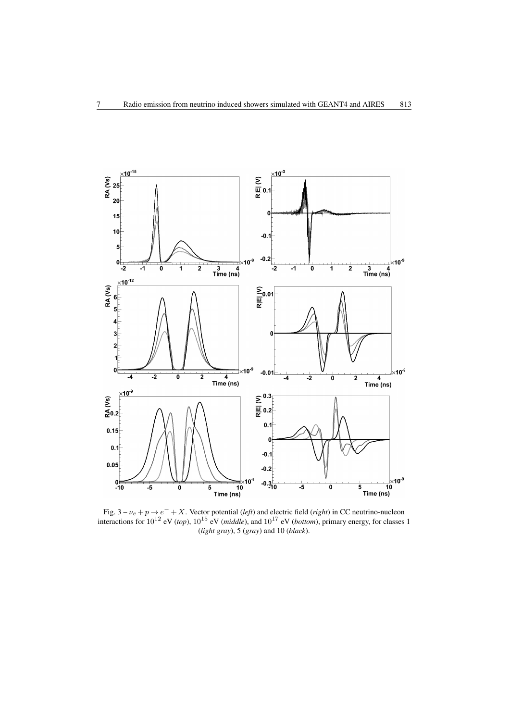

Fig.  $3 - \nu_e + p \rightarrow e^- + X$ . Vector potential (*left*) and electric field (*right*) in CC neutrino-nucleon interactions for  $10^{12}$  eV (*top*),  $10^{15}$  eV (*middle*), and  $10^{17}$  eV (*bottom*), primary energy, for classes 1 (*light gray*), 5 (*gray*) and 10 (*black*).